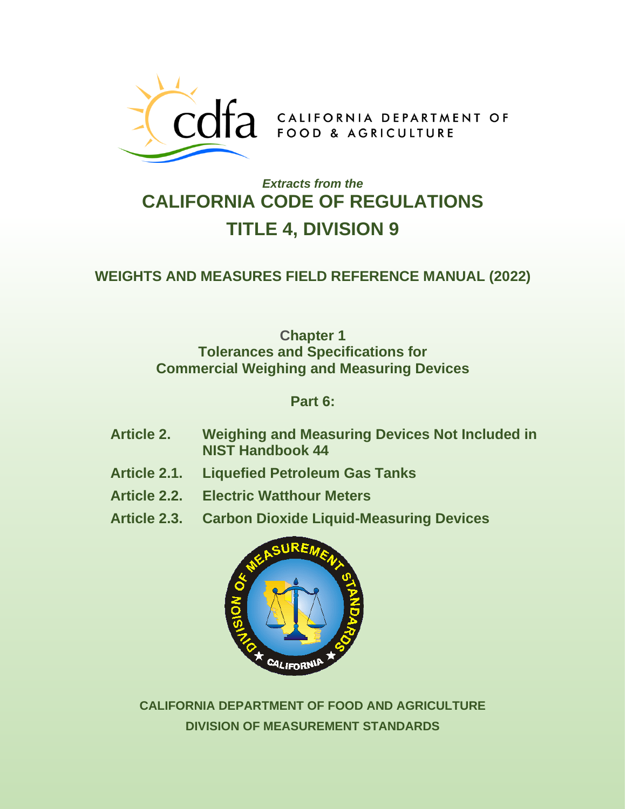

# *Extracts from the* **CALIFORNIA CODE OF REGULATIONS TITLE 4, DIVISION 9**

# **WEIGHTS AND MEASURES FIELD REFERENCE MANUAL (2022)**

**Chapter 1 Tolerances and Specifications for Commercial Weighing and Measuring Devices**

**Part 6:**

- **Article 2. Weighing and Measuring Devices Not Included in NIST Handbook 44**
- **Article 2.1. Liquefied Petroleum Gas Tanks**
- **Article 2.2. Electric Watthour Meters**
- **Article 2.3. Carbon Dioxide Liquid-Measuring Devices**



**CALIFORNIA DEPARTMENT OF FOOD AND AGRICULTURE DIVISION OF MEASUREMENT STANDARDS**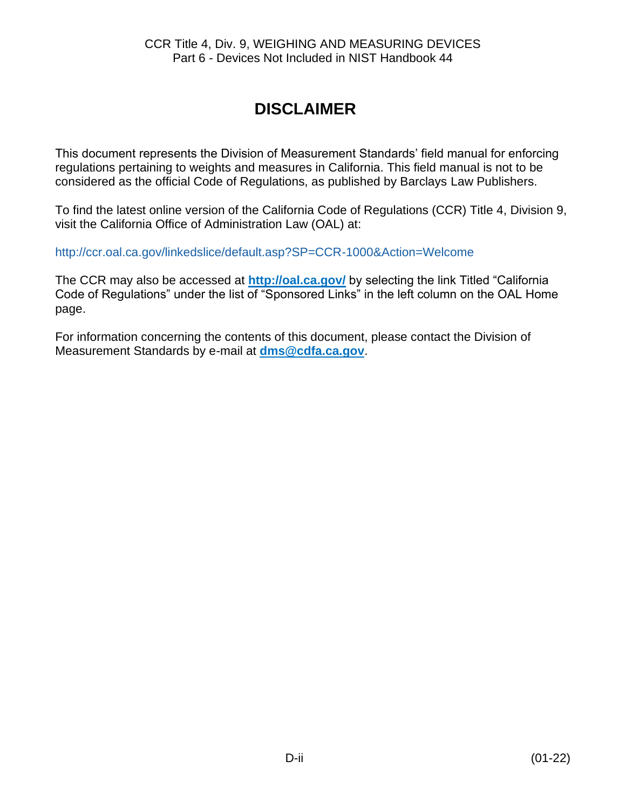# **DISCLAIMER**

This document represents the Division of Measurement Standards' field manual for enforcing regulations pertaining to weights and measures in California. This field manual is not to be considered as the official Code of Regulations, as published by Barclays Law Publishers.

To find the latest online version of the California Code of Regulations (CCR) Title 4, Division 9, visit the California Office of Administration Law (OAL) at:

<http://ccr.oal.ca.gov/linkedslice/default.asp?SP=CCR-1000&Action=Welcome>

The CCR may also be accessed at **<http://oal.ca.gov/>** by selecting the link Titled "California Code of Regulations" under the list of "Sponsored Links" in the left column on the OAL Home page.

For information concerning the contents of this document, please contact the Division of Measurement Standards by e-mail at **[dms@cdfa.ca.gov](mailto:dms@cdfa.ca.gov)**.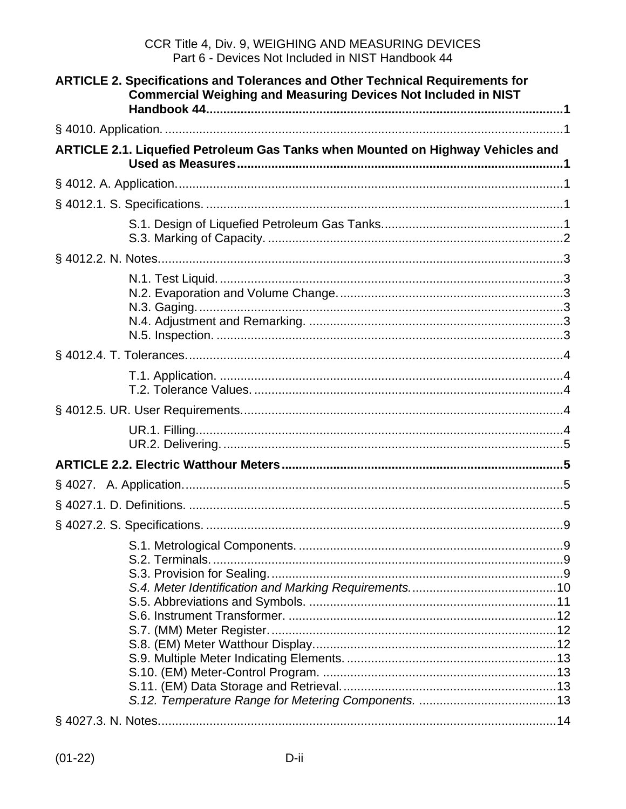| CCR Title 4, Div. 9, WEIGHING AND MEASURING DEVICES<br>Part 6 - Devices Not Included in NIST Handbook 44                                                      |  |
|---------------------------------------------------------------------------------------------------------------------------------------------------------------|--|
| <b>ARTICLE 2. Specifications and Tolerances and Other Technical Requirements for</b><br><b>Commercial Weighing and Measuring Devices Not Included in NIST</b> |  |
|                                                                                                                                                               |  |
| ARTICLE 2.1. Liquefied Petroleum Gas Tanks when Mounted on Highway Vehicles and                                                                               |  |
|                                                                                                                                                               |  |
|                                                                                                                                                               |  |
|                                                                                                                                                               |  |
|                                                                                                                                                               |  |
|                                                                                                                                                               |  |
|                                                                                                                                                               |  |
|                                                                                                                                                               |  |
|                                                                                                                                                               |  |
|                                                                                                                                                               |  |
|                                                                                                                                                               |  |
|                                                                                                                                                               |  |
|                                                                                                                                                               |  |
|                                                                                                                                                               |  |
|                                                                                                                                                               |  |
|                                                                                                                                                               |  |
|                                                                                                                                                               |  |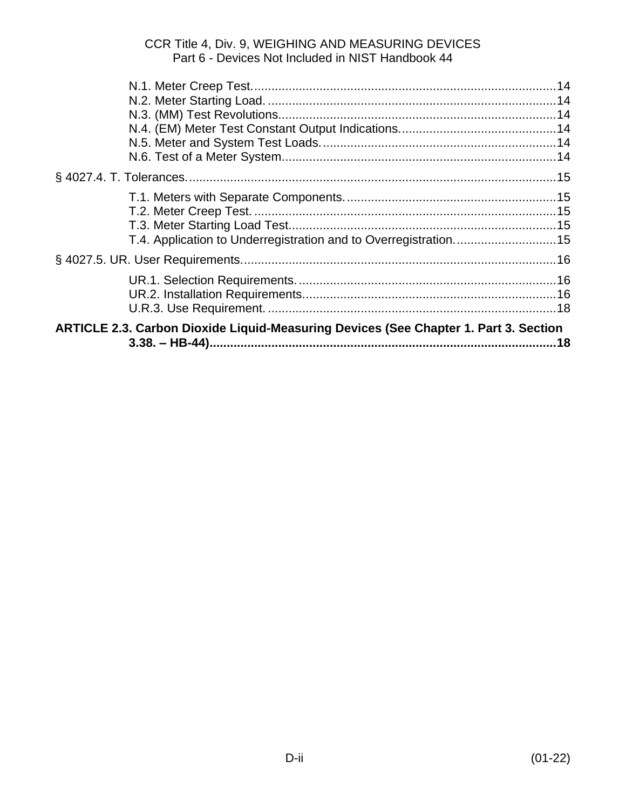| ARTICLE 2.3. Carbon Dioxide Liquid-Measuring Devices (See Chapter 1. Part 3. Section<br>.18 |  |  |  |
|---------------------------------------------------------------------------------------------|--|--|--|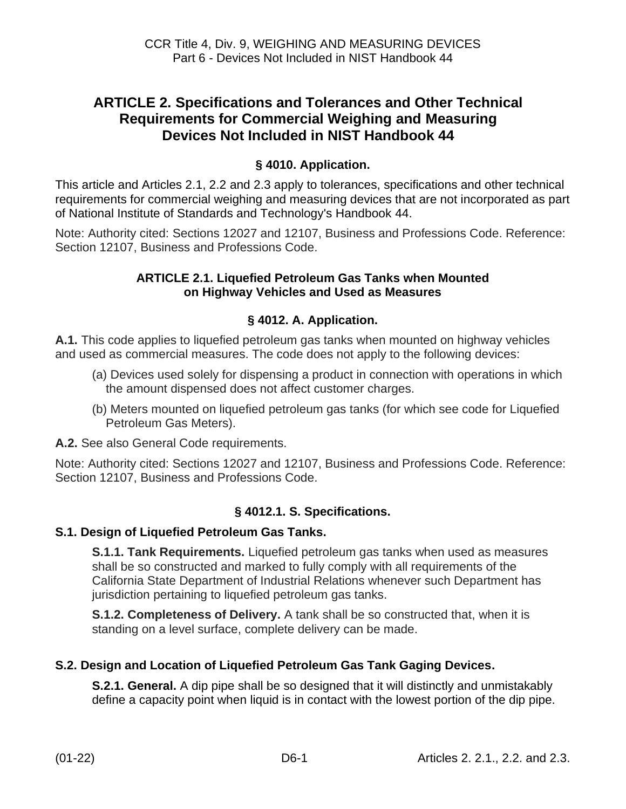# <span id="page-4-0"></span>**ARTICLE 2. Specifications and Tolerances and Other Technical Requirements for Commercial Weighing and Measuring Devices Not Included in NIST Handbook 44**

## **§ 4010. Application.**

<span id="page-4-1"></span>This article and Articles 2.1, 2.2 and 2.3 apply to tolerances, specifications and other technical requirements for commercial weighing and measuring devices that are not incorporated as part of National Institute of Standards and Technology's Handbook 44.

<span id="page-4-2"></span>Note: Authority cited: Sections 12027 and 12107, Business and Professions Code. Reference: Section 12107, Business and Professions Code.

#### **ARTICLE 2.1. Liquefied Petroleum Gas Tanks when Mounted on Highway Vehicles and Used as Measures**

# **§ 4012. A. Application.**

<span id="page-4-3"></span>**A.1.** This code applies to liquefied petroleum gas tanks when mounted on highway vehicles and used as commercial measures. The code does not apply to the following devices:

- (a) Devices used solely for dispensing a product in connection with operations in which the amount dispensed does not affect customer charges.
- (b) Meters mounted on liquefied petroleum gas tanks (for which see code for Liquefied Petroleum Gas Meters).

**A.2.** See also General Code requirements.

Note: Authority cited: Sections 12027 and 12107, Business and Professions Code. Reference: Section 12107, Business and Professions Code.

# **§ 4012.1. S. Specifications.**

#### <span id="page-4-5"></span><span id="page-4-4"></span>**S.1. Design of Liquefied Petroleum Gas Tanks.**

**S.1.1. Tank Requirements.** Liquefied petroleum gas tanks when used as measures shall be so constructed and marked to fully comply with all requirements of the California State Department of Industrial Relations whenever such Department has jurisdiction pertaining to liquefied petroleum gas tanks.

**S.1.2. Completeness of Delivery.** A tank shall be so constructed that, when it is standing on a level surface, complete delivery can be made.

#### **S.2. Design and Location of Liquefied Petroleum Gas Tank Gaging Devices.**

**S.2.1. General.** A dip pipe shall be so designed that it will distinctly and unmistakably define a capacity point when liquid is in contact with the lowest portion of the dip pipe.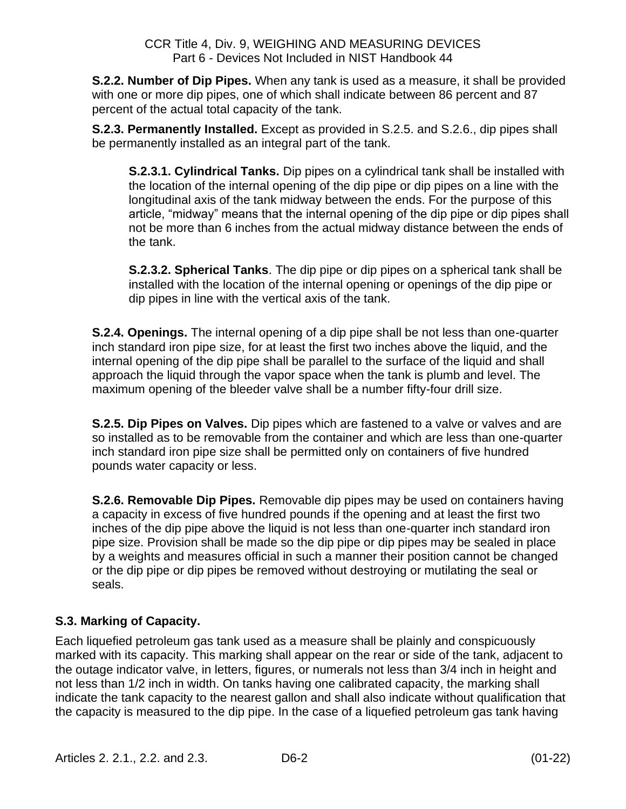**S.2.2. Number of Dip Pipes.** When any tank is used as a measure, it shall be provided with one or more dip pipes, one of which shall indicate between 86 percent and 87 percent of the actual total capacity of the tank.

**S.2.3. Permanently Installed.** Except as provided in S.2.5. and S.2.6., dip pipes shall be permanently installed as an integral part of the tank.

**S.2.3.1. Cylindrical Tanks.** Dip pipes on a cylindrical tank shall be installed with the location of the internal opening of the dip pipe or dip pipes on a line with the longitudinal axis of the tank midway between the ends. For the purpose of this article, "midway" means that the internal opening of the dip pipe or dip pipes shall not be more than 6 inches from the actual midway distance between the ends of the tank.

**S.2.3.2. Spherical Tanks**. The dip pipe or dip pipes on a spherical tank shall be installed with the location of the internal opening or openings of the dip pipe or dip pipes in line with the vertical axis of the tank.

**S.2.4. Openings.** The internal opening of a dip pipe shall be not less than one-quarter inch standard iron pipe size, for at least the first two inches above the liquid, and the internal opening of the dip pipe shall be parallel to the surface of the liquid and shall approach the liquid through the vapor space when the tank is plumb and level. The maximum opening of the bleeder valve shall be a number fifty-four drill size.

**S.2.5. Dip Pipes on Valves.** Dip pipes which are fastened to a valve or valves and are so installed as to be removable from the container and which are less than one-quarter inch standard iron pipe size shall be permitted only on containers of five hundred pounds water capacity or less.

**S.2.6. Removable Dip Pipes.** Removable dip pipes may be used on containers having a capacity in excess of five hundred pounds if the opening and at least the first two inches of the dip pipe above the liquid is not less than one-quarter inch standard iron pipe size. Provision shall be made so the dip pipe or dip pipes may be sealed in place by a weights and measures official in such a manner their position cannot be changed or the dip pipe or dip pipes be removed without destroying or mutilating the seal or seals.

# <span id="page-5-0"></span>**S.3. Marking of Capacity.**

Each liquefied petroleum gas tank used as a measure shall be plainly and conspicuously marked with its capacity. This marking shall appear on the rear or side of the tank, adjacent to the outage indicator valve, in letters, figures, or numerals not less than 3/4 inch in height and not less than 1/2 inch in width. On tanks having one calibrated capacity, the marking shall indicate the tank capacity to the nearest gallon and shall also indicate without qualification that the capacity is measured to the dip pipe. In the case of a liquefied petroleum gas tank having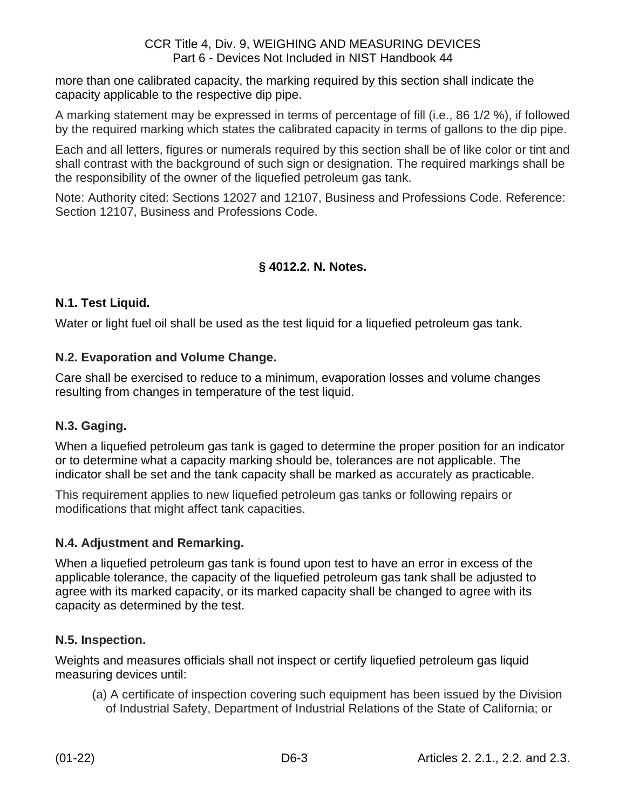more than one calibrated capacity, the marking required by this section shall indicate the capacity applicable to the respective dip pipe.

A marking statement may be expressed in terms of percentage of fill (i.e., 86 1/2 %), if followed by the required marking which states the calibrated capacity in terms of gallons to the dip pipe.

Each and all letters, figures or numerals required by this section shall be of like color or tint and shall contrast with the background of such sign or designation. The required markings shall be the responsibility of the owner of the liquefied petroleum gas tank.

Note: Authority cited: Sections 12027 and 12107, Business and Professions Code. Reference: Section 12107, Business and Professions Code.

#### **§ 4012.2. N. Notes.**

#### <span id="page-6-1"></span><span id="page-6-0"></span>**N.1. Test Liquid.**

Water or light fuel oil shall be used as the test liquid for a liquefied petroleum gas tank.

#### <span id="page-6-2"></span>**N.2. Evaporation and Volume Change.**

Care shall be exercised to reduce to a minimum, evaporation losses and volume changes resulting from changes in temperature of the test liquid.

#### <span id="page-6-3"></span>**N.3. Gaging.**

When a liquefied petroleum gas tank is gaged to determine the proper position for an indicator or to determine what a capacity marking should be, tolerances are not applicable. The indicator shall be set and the tank capacity shall be marked as accurately as practicable.

This requirement applies to new liquefied petroleum gas tanks or following repairs or modifications that might affect tank capacities.

#### <span id="page-6-4"></span>**N.4. Adjustment and Remarking.**

When a liquefied petroleum gas tank is found upon test to have an error in excess of the applicable tolerance, the capacity of the liquefied petroleum gas tank shall be adjusted to agree with its marked capacity, or its marked capacity shall be changed to agree with its capacity as determined by the test.

#### <span id="page-6-5"></span>**N.5. Inspection.**

Weights and measures officials shall not inspect or certify liquefied petroleum gas liquid measuring devices until:

(a) A certificate of inspection covering such equipment has been issued by the Division of Industrial Safety, Department of Industrial Relations of the State of California; or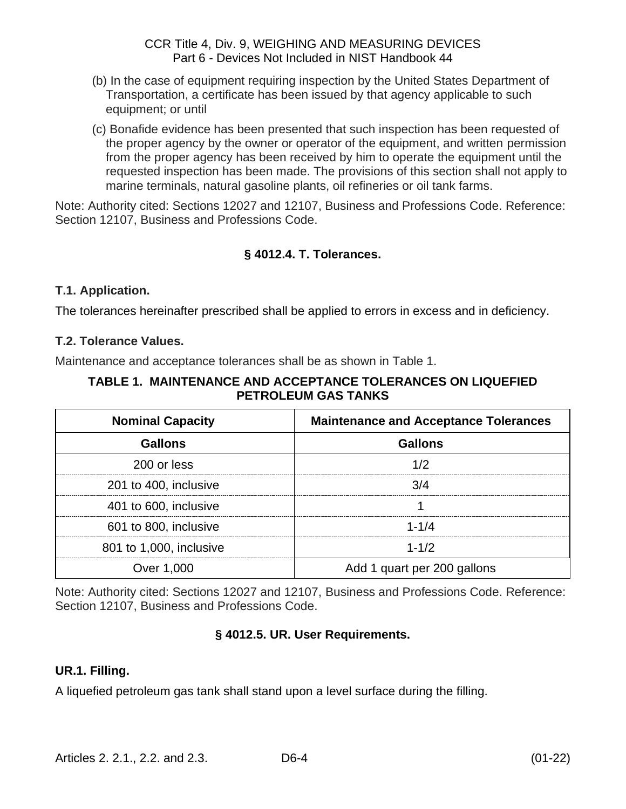- (b) In the case of equipment requiring inspection by the United States Department of Transportation, a certificate has been issued by that agency applicable to such equipment; or until
- (c) Bonafide evidence has been presented that such inspection has been requested of the proper agency by the owner or operator of the equipment, and written permission from the proper agency has been received by him to operate the equipment until the requested inspection has been made. The provisions of this section shall not apply to marine terminals, natural gasoline plants, oil refineries or oil tank farms.

Note: Authority cited: Sections 12027 and 12107, Business and Professions Code. Reference: Section 12107, Business and Professions Code.

## **§ 4012.4. T. Tolerances.**

#### <span id="page-7-1"></span><span id="page-7-0"></span>**T.1. Application.**

The tolerances hereinafter prescribed shall be applied to errors in excess and in deficiency.

#### <span id="page-7-2"></span>**T.2. Tolerance Values.**

Maintenance and acceptance tolerances shall be as shown in Table 1.

#### **TABLE 1. MAINTENANCE AND ACCEPTANCE TOLERANCES ON LIQUEFIED PETROLEUM GAS TANKS**

| <b>Nominal Capacity</b> | <b>Maintenance and Acceptance Tolerances</b> |  |
|-------------------------|----------------------------------------------|--|
| <b>Gallons</b>          | <b>Gallons</b>                               |  |
| 200 or less             | 172                                          |  |
| 201 to 400, inclusive   | 3/4                                          |  |
| 401 to 600, inclusive   |                                              |  |
| 601 to 800, inclusive   | $1 - 1/4$                                    |  |
| 801 to 1,000, inclusive | $1 - 1/2$                                    |  |
| Over 1,000              | Add 1 quart per 200 gallons                  |  |

Note: Authority cited: Sections 12027 and 12107, Business and Professions Code. Reference: Section 12107, Business and Professions Code.

#### **§ 4012.5. UR. User Requirements.**

#### <span id="page-7-4"></span><span id="page-7-3"></span>**UR.1. Filling.**

A liquefied petroleum gas tank shall stand upon a level surface during the filling.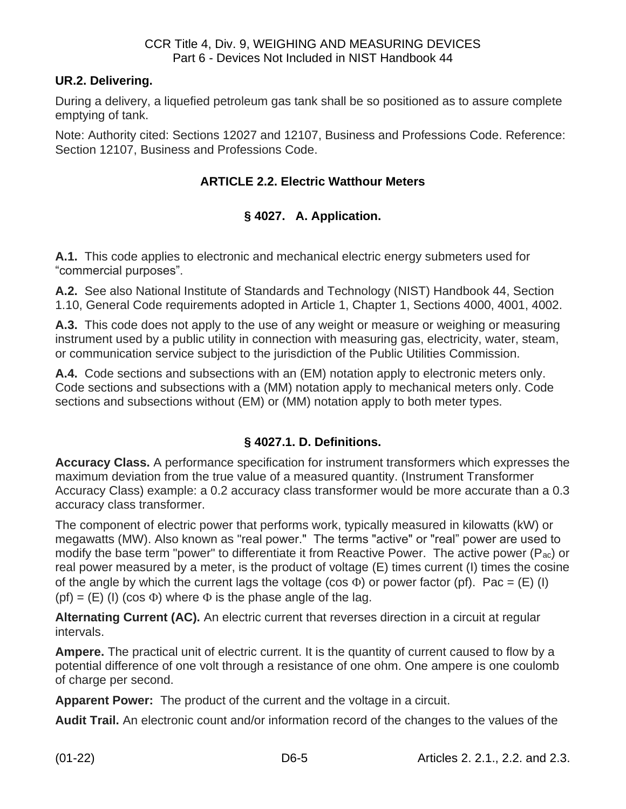# <span id="page-8-0"></span>**UR.2. Delivering.**

During a delivery, a liquefied petroleum gas tank shall be so positioned as to assure complete emptying of tank.

<span id="page-8-1"></span>Note: Authority cited: Sections 12027 and 12107, Business and Professions Code. Reference: Section 12107, Business and Professions Code.

# **ARTICLE 2.2. Electric Watthour Meters**

# **§ 4027. A. Application.**

<span id="page-8-2"></span>**A.1.** This code applies to electronic and mechanical electric energy submeters used for "commercial purposes".

**A.2.** See also National Institute of Standards and Technology (NIST) Handbook 44, Section 1.10, General Code requirements adopted in Article 1, Chapter 1, Sections 4000, 4001, 4002.

**A.3.** This code does not apply to the use of any weight or measure or weighing or measuring instrument used by a public utility in connection with measuring gas, electricity, water, steam, or communication service subject to the jurisdiction of the Public Utilities Commission.

**A.4.** Code sections and subsections with an (EM) notation apply to electronic meters only. Code sections and subsections with a (MM) notation apply to mechanical meters only. Code sections and subsections without (EM) or (MM) notation apply to both meter types.

# **§ 4027.1. D. Definitions.**

<span id="page-8-3"></span>**Accuracy Class.** A performance specification for instrument transformers which expresses the maximum deviation from the true value of a measured quantity. (Instrument Transformer Accuracy Class) example: a 0.2 accuracy class transformer would be more accurate than a 0.3 accuracy class transformer.

The component of electric power that performs work, typically measured in kilowatts (kW) or megawatts (MW). Also known as "real power." The terms "active" or "real" power are used to modify the base term "power" to differentiate it from Reactive Power. The active power ( $P_{ac}$ ) or real power measured by a meter, is the product of voltage (E) times current (I) times the cosine of the angle by which the current lags the voltage (cos  $\Phi$ ) or power factor (pf). Pac = (E) (I)  $(pf) = (E)$  (I) (cos  $\Phi$ ) where  $\Phi$  is the phase angle of the lag.

Alternating Current (AC). An electric current that reverses direction in a circuit at regular intervals.

**Ampere.** The practical unit of electric current. It is the quantity of current caused to flow by a potential difference of one volt through a resistance of one ohm. One ampere is one coulomb of charge per second.

**Apparent Power:** The product of the current and the voltage in a circuit.

**Audit Trail.** An electronic count and/or information record of the changes to the values of the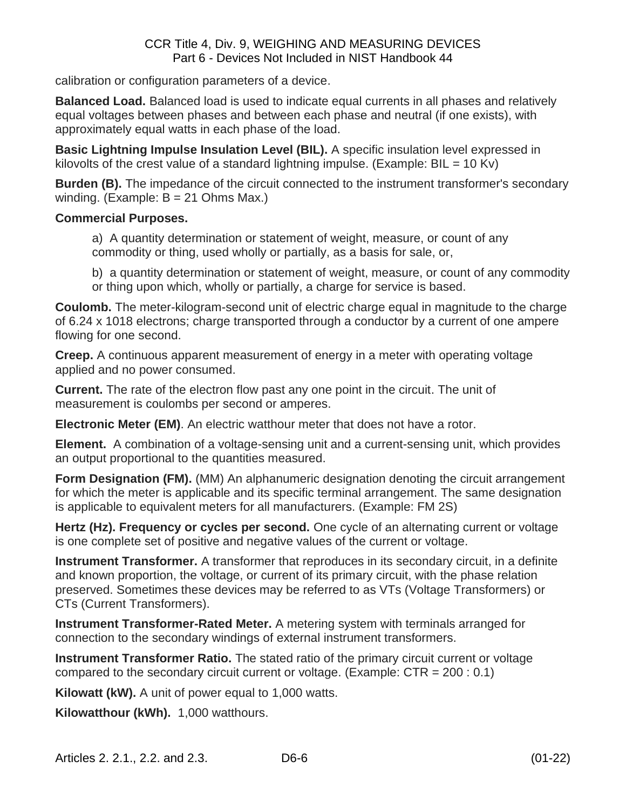calibration or configuration parameters of a device.

**Balanced Load.** Balanced load is used to indicate equal currents in all phases and relatively equal voltages between phases and between each phase and neutral (if one exists), with approximately equal watts in each phase of the load.

**Basic Lightning Impulse Insulation Level (BIL).** A specific insulation level expressed in kilovolts of the crest value of a standard lightning impulse. (Example:  $BIL = 10$  Kv)

**Burden (B).** The impedance of the circuit connected to the instrument transformer's secondary winding. (Example:  $B = 21$  Ohms Max.)

#### **Commercial Purposes.**

a) A quantity determination or statement of weight, measure, or count of any commodity or thing, used wholly or partially, as a basis for sale, or,

b) a quantity determination or statement of weight, measure, or count of any commodity or thing upon which, wholly or partially, a charge for service is based.

**Coulomb.** The meter-kilogram-second unit of electric charge equal in magnitude to the charge of 6.24 x 1018 electrons; charge transported through a conductor by a current of one ampere flowing for one second.

**Creep.** A continuous apparent measurement of energy in a meter with operating voltage applied and no power consumed.

**Current.** The rate of the electron flow past any one point in the circuit. The unit of measurement is coulombs per second or amperes.

**Electronic Meter (EM)**. An electric watthour meter that does not have a rotor.

**Element.** A combination of a voltage-sensing unit and a current-sensing unit, which provides an output proportional to the quantities measured.

**Form Designation (FM).** (MM) An alphanumeric designation denoting the circuit arrangement for which the meter is applicable and its specific terminal arrangement. The same designation is applicable to equivalent meters for all manufacturers. (Example: FM 2S)

**Hertz (Hz). Frequency or cycles per second.** One cycle of an alternating current or voltage is one complete set of positive and negative values of the current or voltage.

**Instrument Transformer.** A transformer that reproduces in its secondary circuit, in a definite and known proportion, the voltage, or current of its primary circuit, with the phase relation preserved. Sometimes these devices may be referred to as VTs (Voltage Transformers) or CTs (Current Transformers).

**Instrument Transformer-Rated Meter.** A metering system with terminals arranged for connection to the secondary windings of external instrument transformers.

**Instrument Transformer Ratio.** The stated ratio of the primary circuit current or voltage compared to the secondary circuit current or voltage. (Example: CTR = 200 : 0.1)

**Kilowatt (kW).** A unit of power equal to 1,000 watts.

**Kilowatthour (kWh).** 1,000 watthours.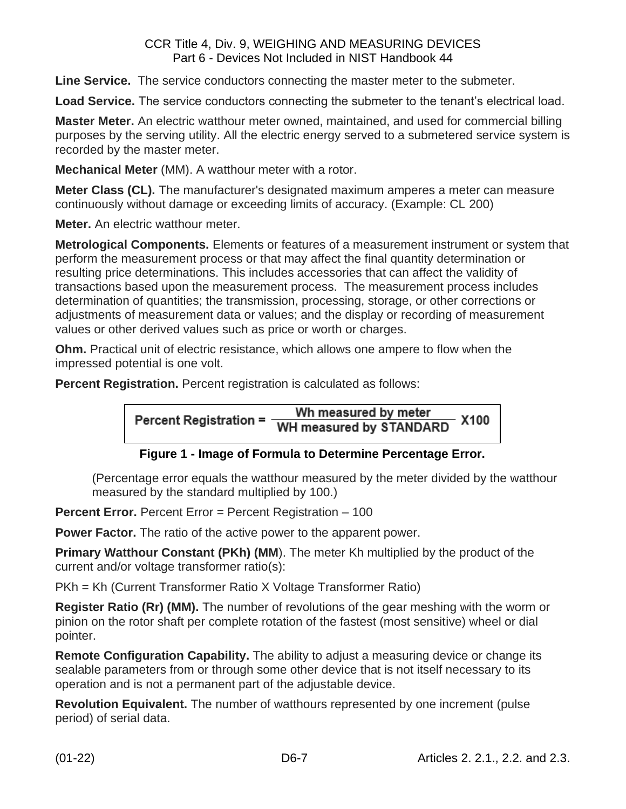**Line Service.** The service conductors connecting the master meter to the submeter.

Load Service. The service conductors connecting the submeter to the tenant's electrical load.

**Master Meter.** An electric watthour meter owned, maintained, and used for commercial billing purposes by the serving utility. All the electric energy served to a submetered service system is recorded by the master meter.

**Mechanical Meter** (MM). A watthour meter with a rotor.

**Meter Class (CL).** The manufacturer's designated maximum amperes a meter can measure continuously without damage or exceeding limits of accuracy. (Example: CL 200)

**Meter.** An electric watthour meter.

**Metrological Components.** Elements or features of a measurement instrument or system that perform the measurement process or that may affect the final quantity determination or resulting price determinations. This includes accessories that can affect the validity of transactions based upon the measurement process. The measurement process includes determination of quantities; the transmission, processing, storage, or other corrections or adjustments of measurement data or values; and the display or recording of measurement values or other derived values such as price or worth or charges.

**Ohm.** Practical unit of electric resistance, which allows one ampere to flow when the impressed potential is one volt.

**Percent Registration.** Percent registration is calculated as follows:

$$
Percent Regulation = \frac{Wh\ measured\ by\ meter}{WH\ measured\ by\ STANDARD\ X100}
$$

**Figure 1 - Image of Formula to Determine Percentage Error.**

(Percentage error equals the watthour measured by the meter divided by the watthour measured by the standard multiplied by 100.)

**Percent Error.** Percent Error = Percent Registration – 100

**Power Factor.** The ratio of the active power to the apparent power.

**Primary Watthour Constant (PKh) (MM)**. The meter Kh multiplied by the product of the current and/or voltage transformer ratio(s):

PKh = Kh (Current Transformer Ratio X Voltage Transformer Ratio)

**Register Ratio (Rr) (MM).** The number of revolutions of the gear meshing with the worm or pinion on the rotor shaft per complete rotation of the fastest (most sensitive) wheel or dial pointer.

**Remote Configuration Capability.** The ability to adjust a measuring device or change its sealable parameters from or through some other device that is not itself necessary to its operation and is not a permanent part of the adjustable device.

**Revolution Equivalent.** The number of watthours represented by one increment (pulse period) of serial data.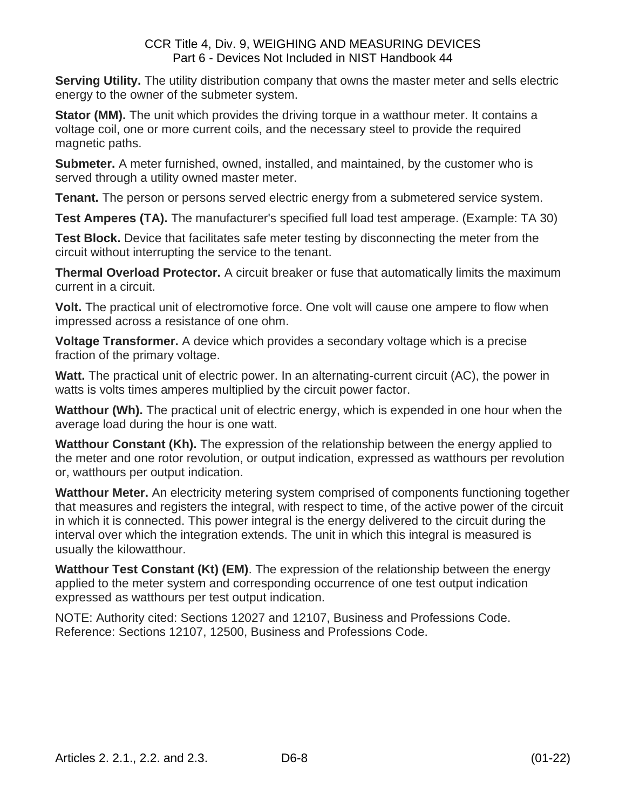**Serving Utility.** The utility distribution company that owns the master meter and sells electric energy to the owner of the submeter system.

**Stator (MM).** The unit which provides the driving torque in a watthour meter. It contains a voltage coil, one or more current coils, and the necessary steel to provide the required magnetic paths.

**Submeter.** A meter furnished, owned, installed, and maintained, by the customer who is served through a utility owned master meter.

**Tenant.** The person or persons served electric energy from a submetered service system.

**Test Amperes (TA).** The manufacturer's specified full load test amperage. (Example: TA 30)

**Test Block.** Device that facilitates safe meter testing by disconnecting the meter from the circuit without interrupting the service to the tenant.

**Thermal Overload Protector.** A circuit breaker or fuse that automatically limits the maximum current in a circuit.

**Volt.** The practical unit of electromotive force. One volt will cause one ampere to flow when impressed across a resistance of one ohm.

**Voltage Transformer.** A device which provides a secondary voltage which is a precise fraction of the primary voltage.

**Watt.** The practical unit of electric power. In an alternating-current circuit (AC), the power in watts is volts times amperes multiplied by the circuit power factor.

**Watthour (Wh).** The practical unit of electric energy, which is expended in one hour when the average load during the hour is one watt.

**Watthour Constant (Kh).** The expression of the relationship between the energy applied to the meter and one rotor revolution, or output indication, expressed as watthours per revolution or, watthours per output indication.

**Watthour Meter.** An electricity metering system comprised of components functioning together that measures and registers the integral, with respect to time, of the active power of the circuit in which it is connected. This power integral is the energy delivered to the circuit during the interval over which the integration extends. The unit in which this integral is measured is usually the kilowatthour.

**Watthour Test Constant (Kt) (EM)**. The expression of the relationship between the energy applied to the meter system and corresponding occurrence of one test output indication expressed as watthours per test output indication.

NOTE: Authority cited: Sections 12027 and 12107, Business and Professions Code. Reference: Sections 12107, 12500, Business and Professions Code.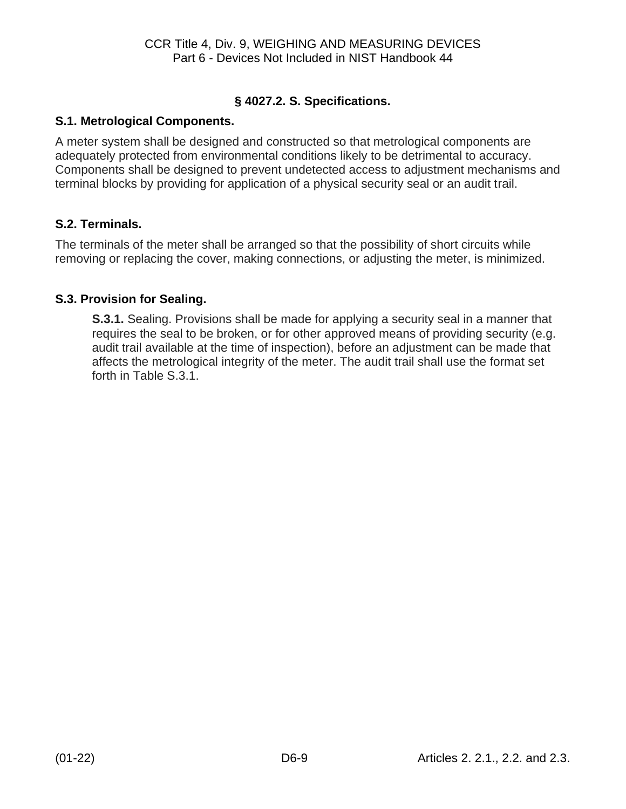## **§ 4027.2. S. Specifications.**

#### <span id="page-12-1"></span><span id="page-12-0"></span>**S.1. Metrological Components.**

A meter system shall be designed and constructed so that metrological components are adequately protected from environmental conditions likely to be detrimental to accuracy. Components shall be designed to prevent undetected access to adjustment mechanisms and terminal blocks by providing for application of a physical security seal or an audit trail.

#### <span id="page-12-2"></span>**S.2. Terminals.**

The terminals of the meter shall be arranged so that the possibility of short circuits while removing or replacing the cover, making connections, or adjusting the meter, is minimized.

#### <span id="page-12-3"></span>**S.3. Provision for Sealing.**

**S.3.1.** Sealing. Provisions shall be made for applying a security seal in a manner that requires the seal to be broken, or for other approved means of providing security (e.g. audit trail available at the time of inspection), before an adjustment can be made that affects the metrological integrity of the meter. The audit trail shall use the format set forth in Table S.3.1.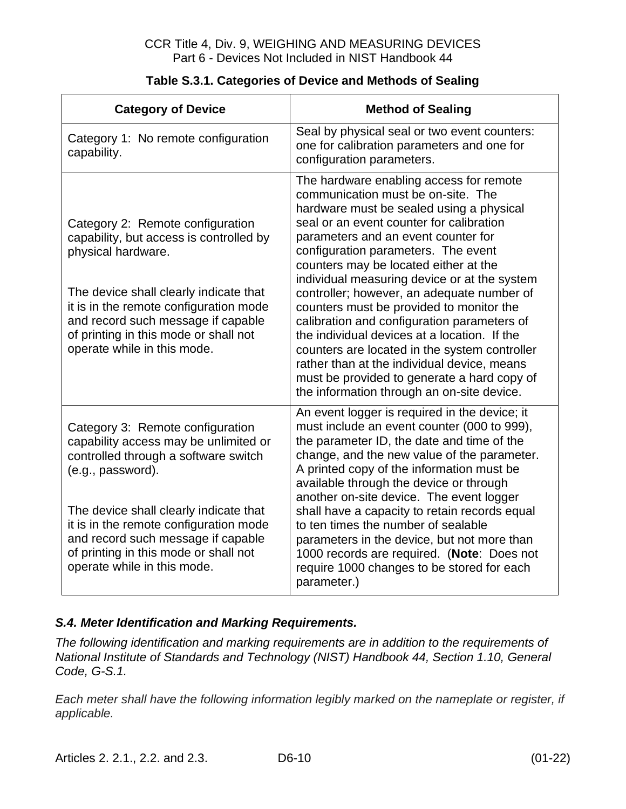| <b>Category of Device</b>                                                                                                                                                                                                                                                                           | <b>Method of Sealing</b>                                                                                                                                                                                                                                                                                                                                                                                                                                                                                                                                                                                                                                                                                                           |
|-----------------------------------------------------------------------------------------------------------------------------------------------------------------------------------------------------------------------------------------------------------------------------------------------------|------------------------------------------------------------------------------------------------------------------------------------------------------------------------------------------------------------------------------------------------------------------------------------------------------------------------------------------------------------------------------------------------------------------------------------------------------------------------------------------------------------------------------------------------------------------------------------------------------------------------------------------------------------------------------------------------------------------------------------|
| Category 1: No remote configuration<br>capability.                                                                                                                                                                                                                                                  | Seal by physical seal or two event counters:<br>one for calibration parameters and one for<br>configuration parameters.                                                                                                                                                                                                                                                                                                                                                                                                                                                                                                                                                                                                            |
| Category 2: Remote configuration<br>capability, but access is controlled by<br>physical hardware.<br>The device shall clearly indicate that<br>it is in the remote configuration mode<br>and record such message if capable<br>of printing in this mode or shall not<br>operate while in this mode. | The hardware enabling access for remote<br>communication must be on-site. The<br>hardware must be sealed using a physical<br>seal or an event counter for calibration<br>parameters and an event counter for<br>configuration parameters. The event<br>counters may be located either at the<br>individual measuring device or at the system<br>controller; however, an adequate number of<br>counters must be provided to monitor the<br>calibration and configuration parameters of<br>the individual devices at a location. If the<br>counters are located in the system controller<br>rather than at the individual device, means<br>must be provided to generate a hard copy of<br>the information through an on-site device. |
| Category 3: Remote configuration<br>capability access may be unlimited or<br>controlled through a software switch<br>(e.g., password).<br>The device shall clearly indicate that<br>it is in the remote configuration mode<br>and record such message if capable                                    | An event logger is required in the device; it<br>must include an event counter (000 to 999),<br>the parameter ID, the date and time of the<br>change, and the new value of the parameter.<br>A printed copy of the information must be<br>available through the device or through<br>another on-site device. The event logger<br>shall have a capacity to retain records equal<br>to ten times the number of sealable<br>parameters in the device, but not more than                                                                                                                                                                                                                                                               |
| of printing in this mode or shall not<br>operate while in this mode.                                                                                                                                                                                                                                | 1000 records are required. (Note: Does not<br>require 1000 changes to be stored for each<br>parameter.)                                                                                                                                                                                                                                                                                                                                                                                                                                                                                                                                                                                                                            |

| Table S.3.1. Categories of Device and Methods of Sealing |  |
|----------------------------------------------------------|--|
|----------------------------------------------------------|--|

#### <span id="page-13-0"></span>*S.4. Meter Identification and Marking Requirements.*

*The following identification and marking requirements are in addition to the requirements of National Institute of Standards and Technology (NIST) Handbook 44, Section 1.10, General Code, G-S.1.* 

*Each meter shall have the following information legibly marked on the nameplate or register, if applicable.*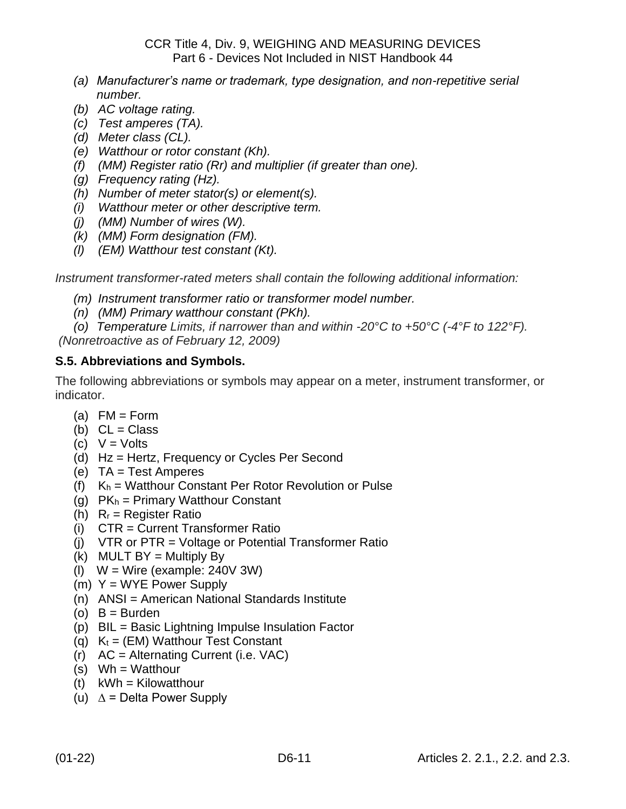- *(a) Manufacturer's name or trademark, type designation, and non-repetitive serial number.*
- *(b) AC voltage rating.*
- *(c) Test amperes (TA).*
- *(d) Meter class (CL).*
- *(e) Watthour or rotor constant (Kh).*
- *(f) (MM) Register ratio (Rr) and multiplier (if greater than one).*
- *(g) Frequency rating (Hz).*
- *(h) Number of meter stator(s) or element(s).*
- *(i) Watthour meter or other descriptive term.*
- *(j) (MM) Number of wires (W).*
- *(k) (MM) Form designation (FM).*
- *(l) (EM) Watthour test constant (Kt).*

*Instrument transformer-rated meters shall contain the following additional information:*

- *(m) Instrument transformer ratio or transformer model number.*
- *(n) (MM) Primary watthour constant (PKh).*

*(o) Temperature Limits, if narrower than and within -20°C to +50°C (-4°F to 122°F). (Nonretroactive as of February 12, 2009)*

# <span id="page-14-0"></span>**S.5. Abbreviations and Symbols.**

The following abbreviations or symbols may appear on a meter, instrument transformer, or indicator.

- $(a)$  FM = Form
- (b)  $CL = Class$
- (c)  $V = Volts$
- (d) Hz = Hertz, Frequency or Cycles Per Second
- (e) TA = Test Amperes
- (f)  $K_h$  = Watthour Constant Per Rotor Revolution or Pulse
- (g)  $PK_h = Primary Watthour Constant$
- (h)  $R_r$  = Register Ratio
- (i) CTR = Current Transformer Ratio
- (j) VTR or PTR = Voltage or Potential Transformer Ratio
- $(k)$  MULT BY = Multiply By
- (I)  $W = Wire$  (example: 240V 3W)
- $(m)$  Y = WYE Power Supply
- (n) ANSI = American National Standards Institute
- (o)  $B = Burden$
- (p) BIL = Basic Lightning Impulse Insulation Factor
- (g)  $K_t = (EM)$  Watthour Test Constant
- (r) AC = Alternating Current (i.e. VAC)
- (s) Wh = Watthour
- $(t)$  kWh = Kilowatthour
- (u) ∆ = Delta Power Supply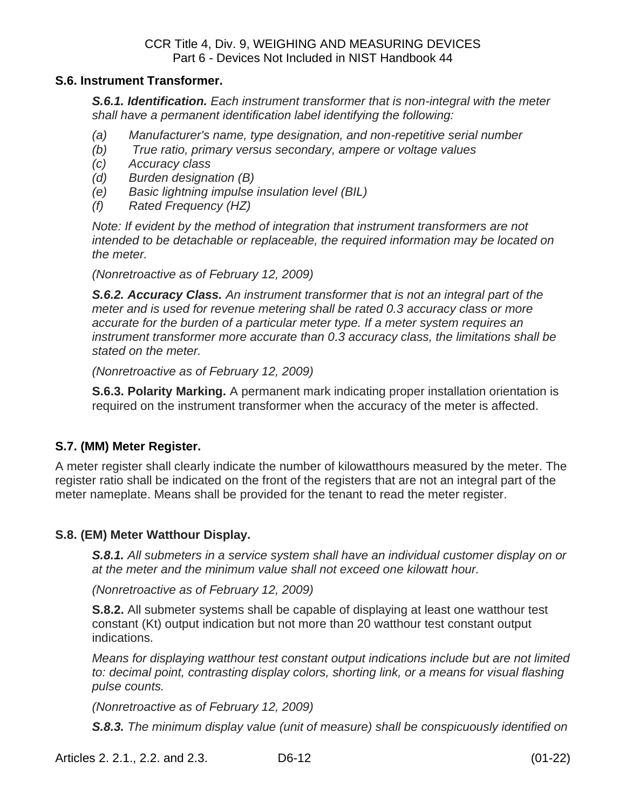#### <span id="page-15-0"></span>**S.6. Instrument Transformer.**

*S.6.1. Identification. Each instrument transformer that is non-integral with the meter shall have a permanent identification label identifying the following:*

- *(a) Manufacturer's name, type designation, and non-repetitive serial number*
- *(b) True ratio, primary versus secondary, ampere or voltage values*
- *(c) Accuracy class*
- *(d) Burden designation (B)*
- *(e) Basic lightning impulse insulation level (BIL)*
- *(f) Rated Frequency (HZ)*

*Note: If evident by the method of integration that instrument transformers are not intended to be detachable or replaceable, the required information may be located on the meter.* 

*(Nonretroactive as of February 12, 2009)*

*S.6.2. Accuracy Class. An instrument transformer that is not an integral part of the meter and is used for revenue metering shall be rated 0.3 accuracy class or more accurate for the burden of a particular meter type. If a meter system requires an instrument transformer more accurate than 0.3 accuracy class, the limitations shall be stated on the meter.* 

*(Nonretroactive as of February 12, 2009)*

**S.6.3. Polarity Marking.** A permanent mark indicating proper installation orientation is required on the instrument transformer when the accuracy of the meter is affected.

#### <span id="page-15-1"></span>**S.7. (MM) Meter Register.**

A meter register shall clearly indicate the number of kilowatthours measured by the meter. The register ratio shall be indicated on the front of the registers that are not an integral part of the meter nameplate. Means shall be provided for the tenant to read the meter register.

#### <span id="page-15-2"></span>**S.8. (EM) Meter Watthour Display.**

*S.8.1. All submeters in a service system shall have an individual customer display on or at the meter and the minimum value shall not exceed one kilowatt hour.*

*(Nonretroactive as of February 12, 2009)*

**S.8.2.** All submeter systems shall be capable of displaying at least one watthour test constant (Kt) output indication but not more than 20 watthour test constant output indications.

*Means for displaying watthour test constant output indications include but are not limited*  to: decimal point, contrasting display colors, shorting link, or a means for visual flashing *pulse counts.*

*(Nonretroactive as of February 12, 2009)*

*S.8.3. The minimum display value (unit of measure) shall be conspicuously identified on*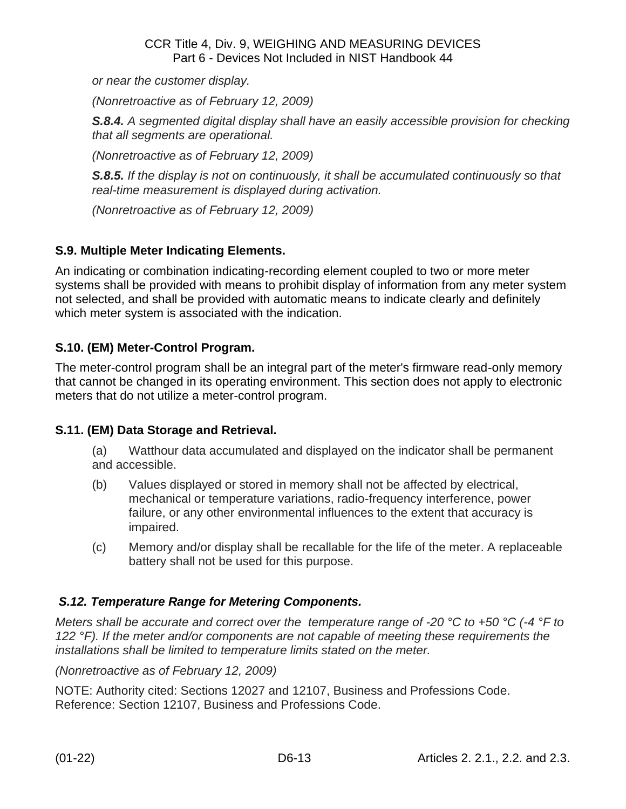*or near the customer display.*

*(Nonretroactive as of February 12, 2009)*

*S.8.4. A segmented digital display shall have an easily accessible provision for checking that all segments are operational.*

*(Nonretroactive as of February 12, 2009)*

*S.8.5. If the display is not on continuously, it shall be accumulated continuously so that real-time measurement is displayed during activation.*

*(Nonretroactive as of February 12, 2009)*

#### <span id="page-16-0"></span>**S.9. Multiple Meter Indicating Elements.**

An indicating or combination indicating-recording element coupled to two or more meter systems shall be provided with means to prohibit display of information from any meter system not selected, and shall be provided with automatic means to indicate clearly and definitely which meter system is associated with the indication.

#### <span id="page-16-1"></span>**S.10. (EM) Meter-Control Program.**

The meter-control program shall be an integral part of the meter's firmware read-only memory that cannot be changed in its operating environment. This section does not apply to electronic meters that do not utilize a meter-control program.

#### <span id="page-16-2"></span>**S.11. (EM) Data Storage and Retrieval.**

(a) Watthour data accumulated and displayed on the indicator shall be permanent and accessible.

- (b) Values displayed or stored in memory shall not be affected by electrical, mechanical or temperature variations, radio-frequency interference, power failure, or any other environmental influences to the extent that accuracy is impaired.
- (c) Memory and/or display shall be recallable for the life of the meter. A replaceable battery shall not be used for this purpose.

#### <span id="page-16-3"></span>*S.12. Temperature Range for Metering Components.*

*Meters shall be accurate and correct over the temperature range of -20 °C to +50 °C (-4 °F to 122 °F). If the meter and/or components are not capable of meeting these requirements the installations shall be limited to temperature limits stated on the meter.*

*(Nonretroactive as of February 12, 2009)*

NOTE: Authority cited: Sections 12027 and 12107, Business and Professions Code. Reference: Section 12107, Business and Professions Code.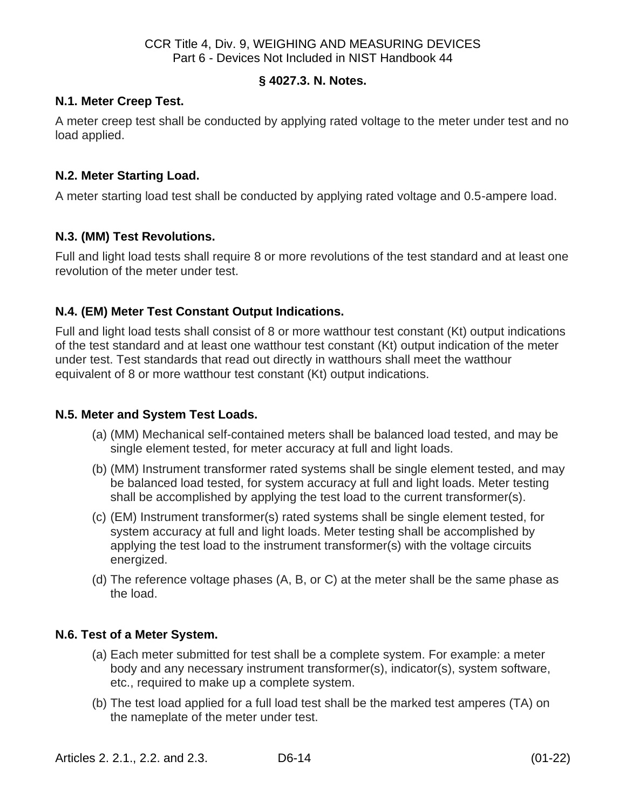#### **§ 4027.3. N. Notes.**

#### <span id="page-17-1"></span><span id="page-17-0"></span>**N.1. Meter Creep Test.**

A meter creep test shall be conducted by applying rated voltage to the meter under test and no load applied.

#### <span id="page-17-2"></span>**N.2. Meter Starting Load.**

A meter starting load test shall be conducted by applying rated voltage and 0.5-ampere load.

#### <span id="page-17-3"></span>**N.3. (MM) Test Revolutions.**

Full and light load tests shall require 8 or more revolutions of the test standard and at least one revolution of the meter under test.

#### <span id="page-17-4"></span>**N.4. (EM) Meter Test Constant Output Indications.**

Full and light load tests shall consist of 8 or more watthour test constant (Kt) output indications of the test standard and at least one watthour test constant (Kt) output indication of the meter under test. Test standards that read out directly in watthours shall meet the watthour equivalent of 8 or more watthour test constant (Kt) output indications.

#### <span id="page-17-5"></span>**N.5. Meter and System Test Loads.**

- (a) (MM) Mechanical self-contained meters shall be balanced load tested, and may be single element tested, for meter accuracy at full and light loads.
- (b) (MM) Instrument transformer rated systems shall be single element tested, and may be balanced load tested, for system accuracy at full and light loads. Meter testing shall be accomplished by applying the test load to the current transformer(s).
- (c) (EM) Instrument transformer(s) rated systems shall be single element tested, for system accuracy at full and light loads. Meter testing shall be accomplished by applying the test load to the instrument transformer(s) with the voltage circuits energized.
- (d) The reference voltage phases (A, B, or C) at the meter shall be the same phase as the load.

#### <span id="page-17-6"></span>**N.6. Test of a Meter System.**

- (a) Each meter submitted for test shall be a complete system. For example: a meter body and any necessary instrument transformer(s), indicator(s), system software, etc., required to make up a complete system.
- (b) The test load applied for a full load test shall be the marked test amperes (TA) on the nameplate of the meter under test.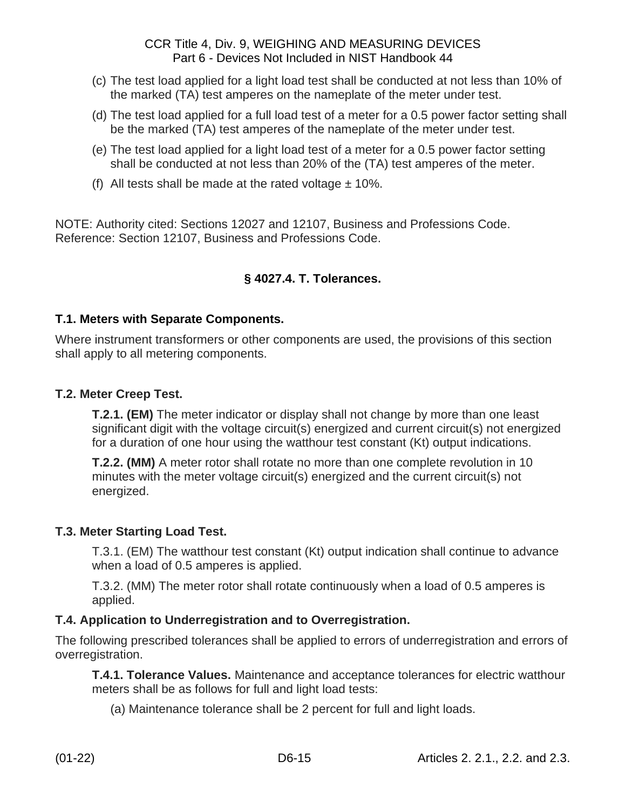- (c) The test load applied for a light load test shall be conducted at not less than 10% of the marked (TA) test amperes on the nameplate of the meter under test.
- (d) The test load applied for a full load test of a meter for a 0.5 power factor setting shall be the marked (TA) test amperes of the nameplate of the meter under test.
- (e) The test load applied for a light load test of a meter for a 0.5 power factor setting shall be conducted at not less than 20% of the (TA) test amperes of the meter.
- (f) All tests shall be made at the rated voltage  $\pm$  10%.

NOTE: Authority cited: Sections 12027 and 12107, Business and Professions Code. Reference: Section 12107, Business and Professions Code.

# **§ 4027.4. T. Tolerances.**

#### <span id="page-18-1"></span><span id="page-18-0"></span>**T.1. Meters with Separate Components.**

Where instrument transformers or other components are used, the provisions of this section shall apply to all metering components.

#### <span id="page-18-2"></span>**T.2. Meter Creep Test.**

**T.2.1. (EM)** The meter indicator or display shall not change by more than one least significant digit with the voltage circuit(s) energized and current circuit(s) not energized for a duration of one hour using the watthour test constant (Kt) output indications.

**T.2.2. (MM)** A meter rotor shall rotate no more than one complete revolution in 10 minutes with the meter voltage circuit(s) energized and the current circuit(s) not energized.

#### <span id="page-18-3"></span>**T.3. Meter Starting Load Test.**

T.3.1. (EM) The watthour test constant (Kt) output indication shall continue to advance when a load of 0.5 amperes is applied.

T.3.2. (MM) The meter rotor shall rotate continuously when a load of 0.5 amperes is applied.

#### <span id="page-18-4"></span>**T.4. Application to Underregistration and to Overregistration.**

The following prescribed tolerances shall be applied to errors of underregistration and errors of overregistration.

**T.4.1. Tolerance Values.** Maintenance and acceptance tolerances for electric watthour meters shall be as follows for full and light load tests:

(a) Maintenance tolerance shall be 2 percent for full and light loads.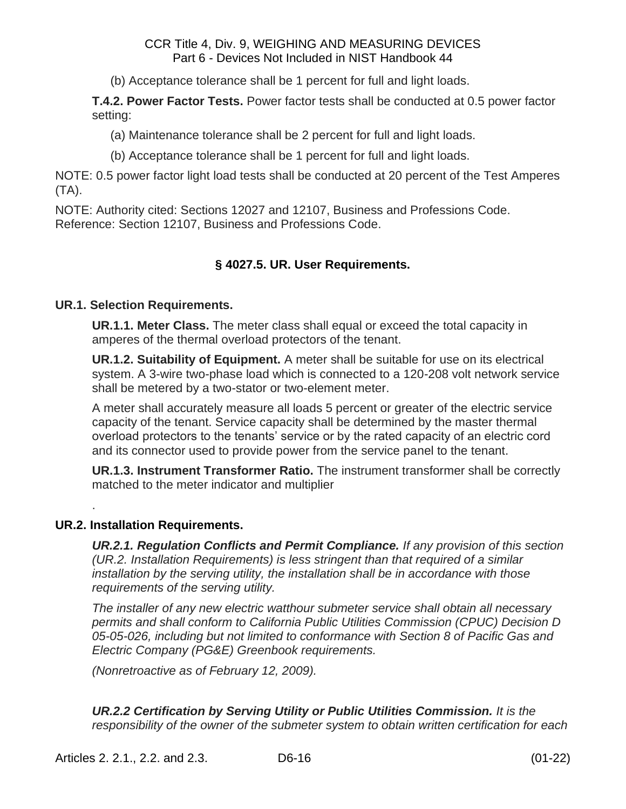(b) Acceptance tolerance shall be 1 percent for full and light loads.

**T.4.2. Power Factor Tests.** Power factor tests shall be conducted at 0.5 power factor setting:

(a) Maintenance tolerance shall be 2 percent for full and light loads.

(b) Acceptance tolerance shall be 1 percent for full and light loads.

NOTE: 0.5 power factor light load tests shall be conducted at 20 percent of the Test Amperes (TA).

NOTE: Authority cited: Sections 12027 and 12107, Business and Professions Code. Reference: Section 12107, Business and Professions Code.

#### **§ 4027.5. UR. User Requirements.**

#### <span id="page-19-1"></span><span id="page-19-0"></span>**UR.1. Selection Requirements.**

**UR.1.1. Meter Class.** The meter class shall equal or exceed the total capacity in amperes of the thermal overload protectors of the tenant.

**UR.1.2. Suitability of Equipment.** A meter shall be suitable for use on its electrical system. A 3-wire two-phase load which is connected to a 120-208 volt network service shall be metered by a two-stator or two-element meter.

A meter shall accurately measure all loads 5 percent or greater of the electric service capacity of the tenant. Service capacity shall be determined by the master thermal overload protectors to the tenants' service or by the rated capacity of an electric cord and its connector used to provide power from the service panel to the tenant.

**UR.1.3. Instrument Transformer Ratio.** The instrument transformer shall be correctly matched to the meter indicator and multiplier

#### <span id="page-19-2"></span>**UR.2. Installation Requirements.**

.

*UR.2.1. Regulation Conflicts and Permit Compliance. If any provision of this section (UR.2. Installation Requirements) is less stringent than that required of a similar installation by the serving utility, the installation shall be in accordance with those requirements of the serving utility.*

*The installer of any new electric watthour submeter service shall obtain all necessary permits and shall conform to California Public Utilities Commission (CPUC) Decision D 05-05-026, including but not limited to conformance with Section 8 of Pacific Gas and Electric Company (PG&E) Greenbook requirements.*

*(Nonretroactive as of February 12, 2009).*

*UR.2.2 Certification by Serving Utility or Public Utilities Commission. It is the responsibility of the owner of the submeter system to obtain written certification for each*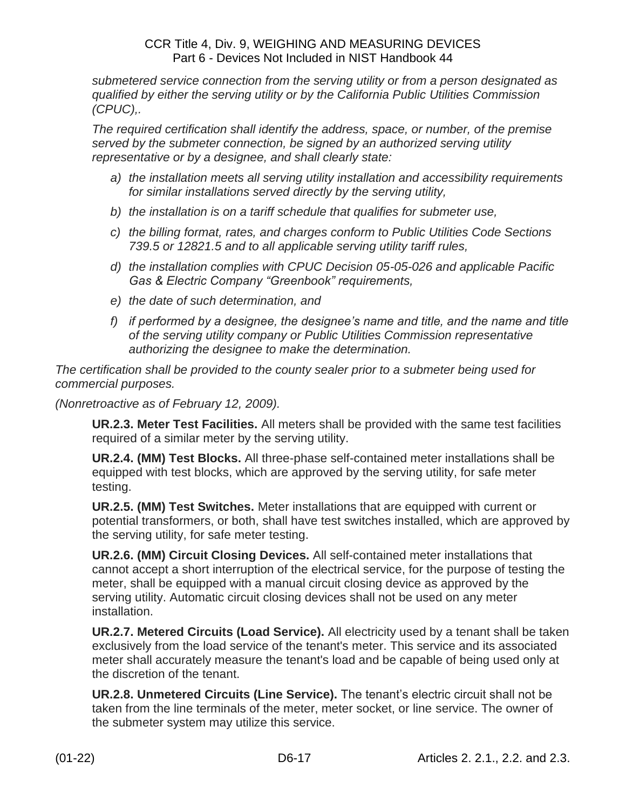*submetered service connection from the serving utility or from a person designated as qualified by either the serving utility or by the California Public Utilities Commission (CPUC),.*

*The required certification shall identify the address, space, or number, of the premise served by the submeter connection, be signed by an authorized serving utility representative or by a designee, and shall clearly state:*

- *a) the installation meets all serving utility installation and accessibility requirements for similar installations served directly by the serving utility,*
- *b) the installation is on a tariff schedule that qualifies for submeter use,*
- *c) the billing format, rates, and charges conform to Public Utilities Code Sections 739.5 or 12821.5 and to all applicable serving utility tariff rules,*
- *d) the installation complies with CPUC Decision 05-05-026 and applicable Pacific Gas & Electric Company "Greenbook" requirements,*
- *e) the date of such determination, and*
- *f) if performed by a designee, the designee's name and title, and the name and title of the serving utility company or Public Utilities Commission representative authorizing the designee to make the determination.*

*The certification shall be provided to the county sealer prior to a submeter being used for commercial purposes.*

*(Nonretroactive as of February 12, 2009).*

**UR.2.3. Meter Test Facilities.** All meters shall be provided with the same test facilities required of a similar meter by the serving utility.

**UR.2.4. (MM) Test Blocks.** All three-phase self-contained meter installations shall be equipped with test blocks, which are approved by the serving utility, for safe meter testing.

**UR.2.5. (MM) Test Switches.** Meter installations that are equipped with current or potential transformers, or both, shall have test switches installed, which are approved by the serving utility, for safe meter testing.

**UR.2.6. (MM) Circuit Closing Devices.** All self-contained meter installations that cannot accept a short interruption of the electrical service, for the purpose of testing the meter, shall be equipped with a manual circuit closing device as approved by the serving utility. Automatic circuit closing devices shall not be used on any meter installation.

**UR.2.7. Metered Circuits (Load Service).** All electricity used by a tenant shall be taken exclusively from the load service of the tenant's meter. This service and its associated meter shall accurately measure the tenant's load and be capable of being used only at the discretion of the tenant.

**UR.2.8. Unmetered Circuits (Line Service).** The tenant's electric circuit shall not be taken from the line terminals of the meter, meter socket, or line service. The owner of the submeter system may utilize this service.